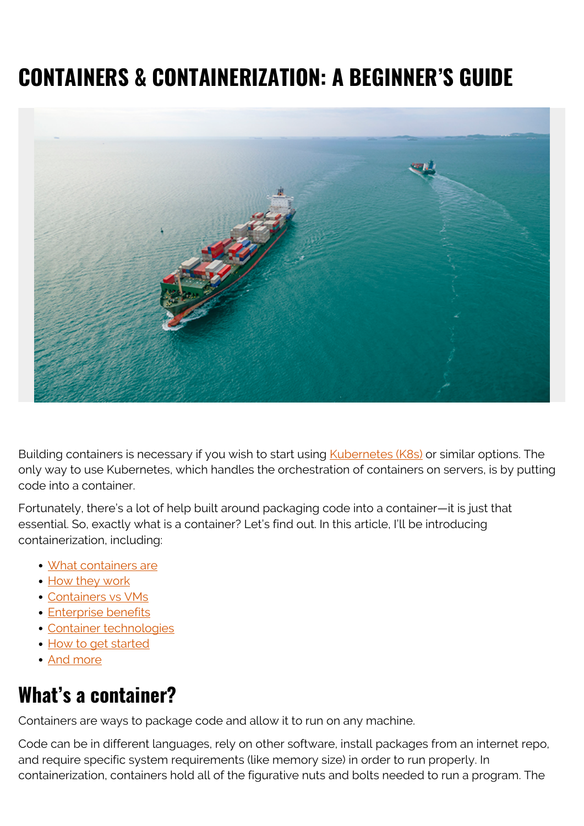# **CONTAINERS & CONTAINERIZATION: A BEGINNER'S GUIDE**



Building containers is necessary if you wish to start using **Kubernetes (K8s)** or similar options. The only way to use Kubernetes, which handles the orchestration of containers on servers, is by putting code into a container.

Fortunately, there's a lot of help built around packaging code into a container—it is just that essential. So, exactly what is a container? Let's find out. In this article, I'll be introducing containerization, including:

- [What containers are](#page--1-0)
- [How they work](#page--1-0)
- [Containers vs VMs](#page--1-0)
- **[Enterprise benefits](#page--1-0)**
- [Container technologies](#page--1-0)
- [How to get started](#page--1-0)
- [And more](#page--1-0)

### **What's a container?**

Containers are ways to package code and allow it to run on any machine.

Code can be in different languages, rely on other software, install packages from an internet repo, and require specific system requirements (like memory size) in order to run properly. In containerization, containers hold all of the figurative nuts and bolts needed to run a program. The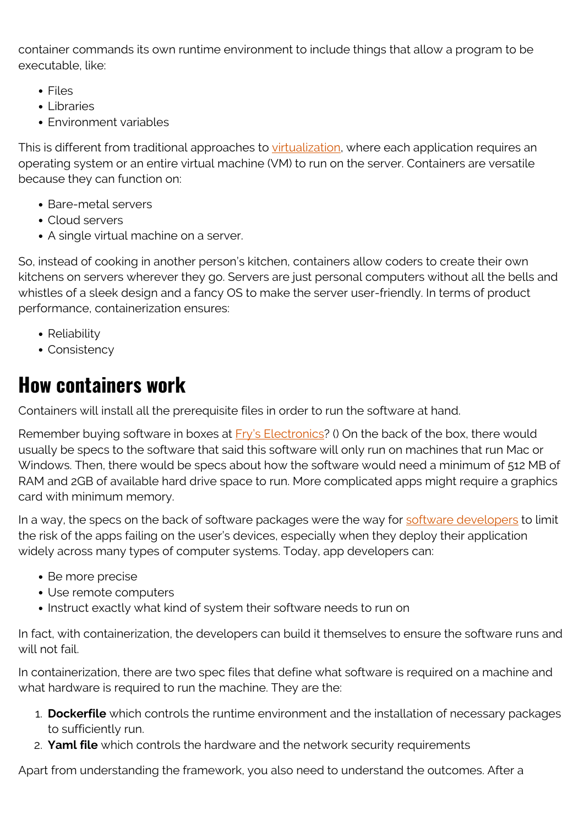container commands its own runtime environment to include things that allow a program to be executable, like:

- Files
- Libraries
- Environment variables

This is different from traditional approaches to [virtualization](https://blogs.bmc.com/blogs/it-virtualization/), where each application requires an operating system or an entire virtual machine (VM) to run on the server. Containers are versatile because they can function on:

- Bare-metal servers
- Cloud servers
- A single virtual machine on a server.

So, instead of cooking in another person's kitchen, containers allow coders to create their own kitchens on servers wherever they go. Servers are just personal computers without all the bells and whistles of a sleek design and a fancy OS to make the server user-friendly. In terms of product performance, containerization ensures:

- Reliability
- Consistency

### **How containers work**

Containers will install all the prerequisite files in order to run the software at hand.

Remember buying software in boxes at **Fry's Electronics**? () On the back of the box, there would usually be specs to the software that said this software will only run on machines that run Mac or Windows. Then, there would be specs about how the software would need a minimum of 512 MB of RAM and 2GB of available hard drive space to run. More complicated apps might require a graphics card with minimum memory.

In a way, the specs on the back of software packages were the way for [software developers](https://blogs.bmc.com/blogs/application-developer-roles-responsibilities/) to limit the risk of the apps failing on the user's devices, especially when they deploy their application widely across many types of computer systems. Today, app developers can:

- Be more precise
- Use remote computers
- Instruct exactly what kind of system their software needs to run on

In fact, with containerization, the developers can build it themselves to ensure the software runs and will not fail.

In containerization, there are two spec files that define what software is required on a machine and what hardware is required to run the machine. They are the:

- 1. **Dockerfile** which controls the runtime environment and the installation of necessary packages to sufficiently run.
- 2. **Yaml file** which controls the hardware and the network security requirements

Apart from understanding the framework, you also need to understand the outcomes. After a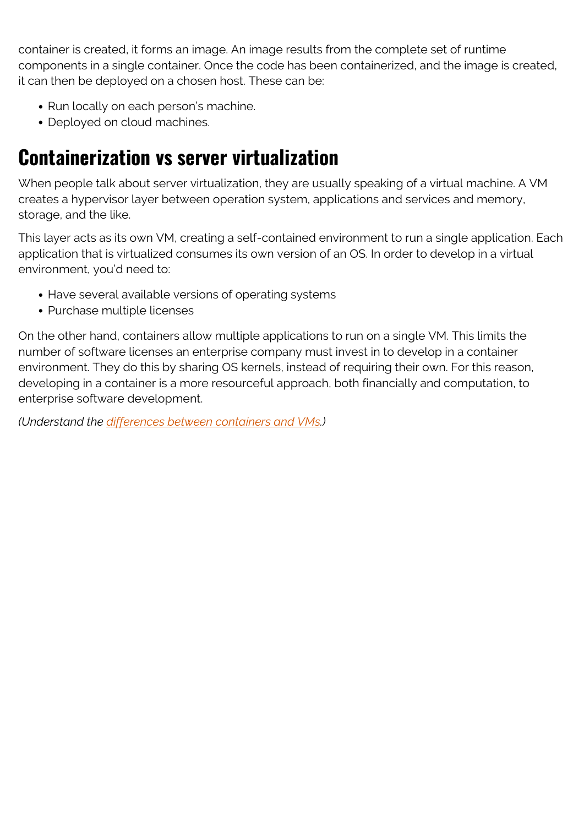container is created, it forms an image. An image results from the complete set of runtime components in a single container. Once the code has been containerized, and the image is created, it can then be deployed on a chosen host. These can be:

- Run locally on each person's machine.
- Deployed on cloud machines.

## **Containerization vs server virtualization**

When people talk about server virtualization, they are usually speaking of a virtual machine. A VM creates a hypervisor layer between operation system, applications and services and memory, storage, and the like.

This layer acts as its own VM, creating a self-contained environment to run a single application. Each application that is virtualized consumes its own version of an OS. In order to develop in a virtual environment, you'd need to:

- Have several available versions of operating systems
- Purchase multiple licenses

On the other hand, containers allow multiple applications to run on a single VM. This limits the number of software licenses an enterprise company must invest in to develop in a container environment. They do this by sharing OS kernels, instead of requiring their own. For this reason, developing in a container is a more resourceful approach, both financially and computation, to enterprise software development.

*(Understand the [differences between containers and VMs.](https://blogs.bmc.com/blogs/containers-vs-virtual-machines/))*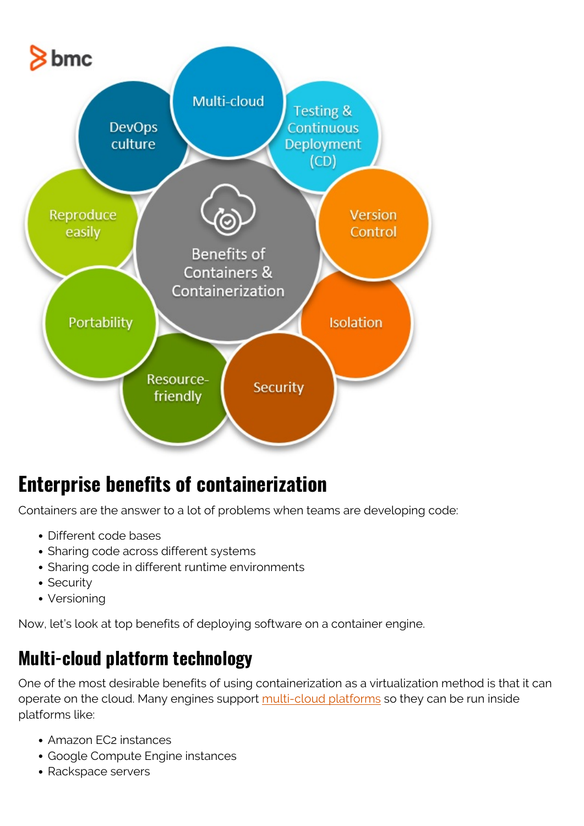

## **Enterprise benefits of containerization**

Containers are the answer to a lot of problems when teams are developing code:

- Different code bases
- Sharing code across different systems
- Sharing code in different runtime environments
- Security
- Versioning

Now, let's look at top benefits of deploying software on a container engine.

#### **Multi-cloud platform technology**

One of the most desirable benefits of using containerization as a virtualization method is that it can operate on the cloud. Many engines support [multi-cloud platforms](https://blogs.bmc.com/blogs/multi-cloud-strategy/) so they can be run inside platforms like:

- Amazon EC2 instances
- Google Compute Engine instances
- Rackspace servers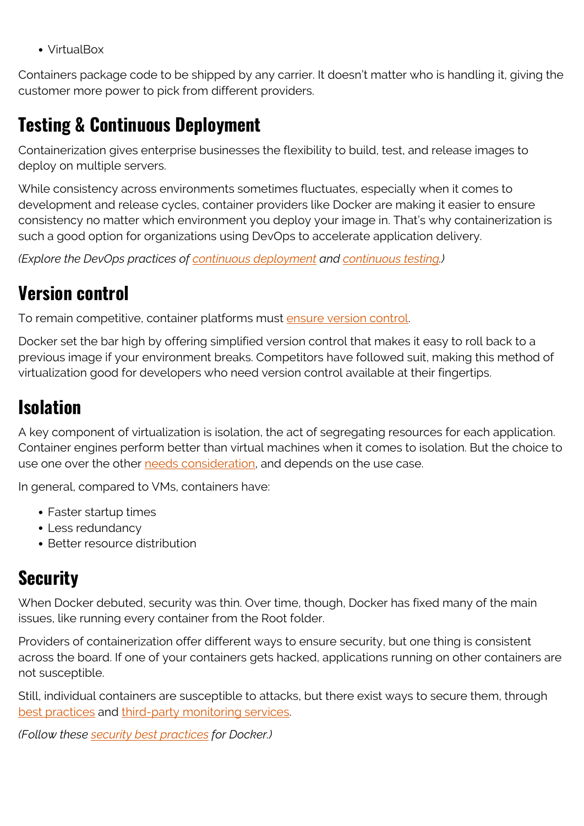VirtualBox

Containers package code to be shipped by any carrier. It doesn't matter who is handling it, giving the customer more power to pick from different providers.

#### **Testing & Continuous Deployment**

Containerization gives enterprise businesses the flexibility to build, test, and release images to deploy on multiple servers.

While consistency across environments sometimes fluctuates, especially when it comes to development and release cycles, container providers like Docker are making it easier to ensure consistency no matter which environment you deploy your image in. That's why containerization is such a good option for organizations using DevOps to accelerate application delivery.

*(Explore the DevOps practices of [continuous deployment](https://blogs.bmc.com/blogs/devops-continuous-integration-delivery-deployment/) and [continuous testing.](https://blogs.bmc.com/blogs/devops-continuous-testing/))*

#### **Version control**

To remain competitive, container platforms must [ensure version control](https://blogs.bmc.com/blogs/devops-source-version-control/).

Docker set the bar high by offering simplified version control that makes it easy to roll back to a previous image if your environment breaks. Competitors have followed suit, making this method of virtualization good for developers who need version control available at their fingertips.

#### **Isolation**

A key component of virtualization is isolation, the act of segregating resources for each application. Container engines perform better than virtual machines when it comes to isolation. But the choice to use one over the other [needs consideration](https://www.redhat.com/en/topics/containers/containers-vs-vms), and depends on the use case.

In general, compared to VMs, containers have:

- Faster startup times
- Less redundancy
- Better resource distribution

#### **Security**

When Docker debuted, security was thin. Over time, though, Docker has fixed many of the main issues, like running every container from the Root folder.

Providers of containerization offer different ways to ensure security, but one thing is consistent across the board. If one of your containers gets hacked, applications running on other containers are not susceptible.

Still, individual containers are susceptible to attacks, but there exist ways to secure them, through [best practices](https://www.freecodecamp.org/news/how-to-find-and-fix-docker-container-vulnerabilities-in-2020/) and [third-party monitoring services](https://www.rapid7.com/solutions/containers-and-docker-security/).

*(Follow these [security best practices](https://blogs.bmc.com/blogs/docker-security-best-practices/) for Docker.)*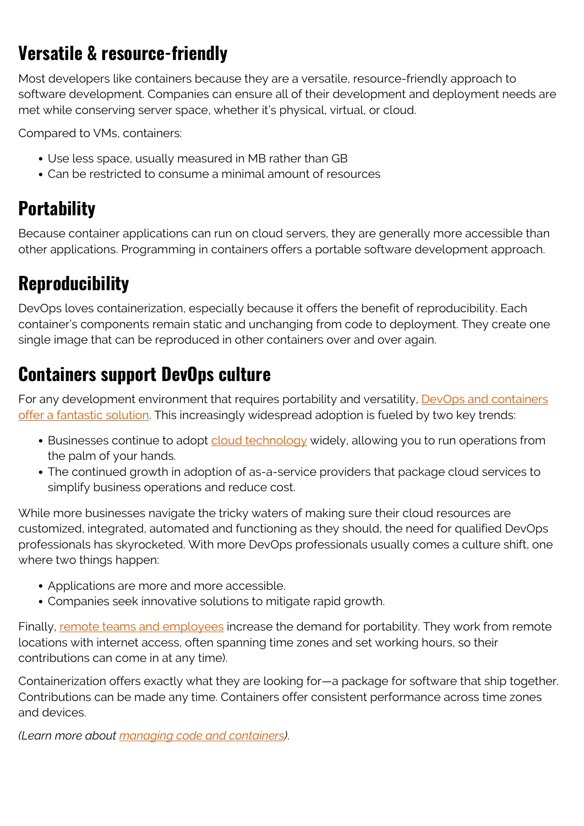### **Versatile & resource-friendly**

Most developers like containers because they are a versatile, resource-friendly approach to software development. Companies can ensure all of their development and deployment needs are met while conserving server space, whether it's physical, virtual, or cloud.

Compared to VMs, containers:

- Use less space, usually measured in MB rather than GB
- Can be restricted to consume a minimal amount of resources

## **Portability**

Because container applications can run on cloud servers, they are generally more accessible than other applications. Programming in containers offers a portable software development approach.

## **Reproducibility**

DevOps loves containerization, especially because it offers the benefit of reproducibility. Each container's components remain static and unchanging from code to deployment. They create one single image that can be reproduced in other containers over and over again.

#### **Containers support DevOps culture**

For any development environment that requires portability and versatility, **[DevOps and containers](https://blogs.bmc.com/blogs/devops-containers/)** [offer a fantastic solution](https://blogs.bmc.com/blogs/devops-containers/). This increasingly widespread adoption is fueled by two key trends:

- Businesses continue to adopt [cloud technology](https://blogs.bmc.com/blogs/public-private-hybrid-cloud) widely, allowing you to run operations from the palm of your hands.
- The continued growth in adoption of as-a-service providers that package cloud services to simplify business operations and reduce cost.

While more businesses navigate the tricky waters of making sure their cloud resources are customized, integrated, automated and functioning as they should, the need for qualified DevOps professionals has skyrocketed. With more DevOps professionals usually comes a culture shift, one where two things happen:

- Applications are more and more accessible.
- Companies seek innovative solutions to mitigate rapid growth.

Finally, [remote teams and employees](https://blogs.bmc.com/blogs/building-an-it-network-for-a-remote-facility/) increase the demand for portability. They work from remote locations with internet access, often spanning time zones and set working hours, so their contributions can come in at any time).

Containerization offers exactly what they are looking for—a package for software that ship together. Contributions can be made any time. Containers offer consistent performance across time zones and devices.

*(Learn more about [managing code and containers\)](https://blogs.bmc.com/blogs/devops-managing-code-containers/)*.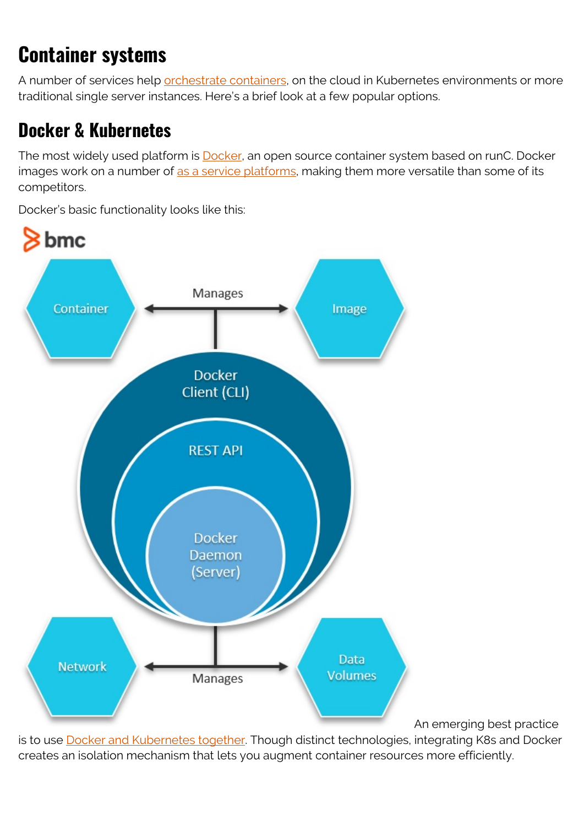# **Container systems**

A number of services help [orchestrate containers](https://blogs.bmc.com/blogs/kubernetes-vs-docker-swarm/), on the cloud in Kubernetes environments or more traditional single server instances. Here's a brief look at a few popular options.

## **Docker & Kubernetes**

The most widely used platform is **Docker**, an open source container system based on runC. Docker images work on a number of [as a service platforms,](https://blogs.bmc.com/blogs/xaas-everything-as-a-service/) making them more versatile than some of its competitors.

Docker's basic functionality looks like this:



An emerging best practice

is to use **[Docker and Kubernetes together](https://blogs.bmc.com/blogs/kubernetes-vs-docker/)**. Though distinct technologies, integrating K8s and Docker creates an isolation mechanism that lets you augment container resources more efficiently.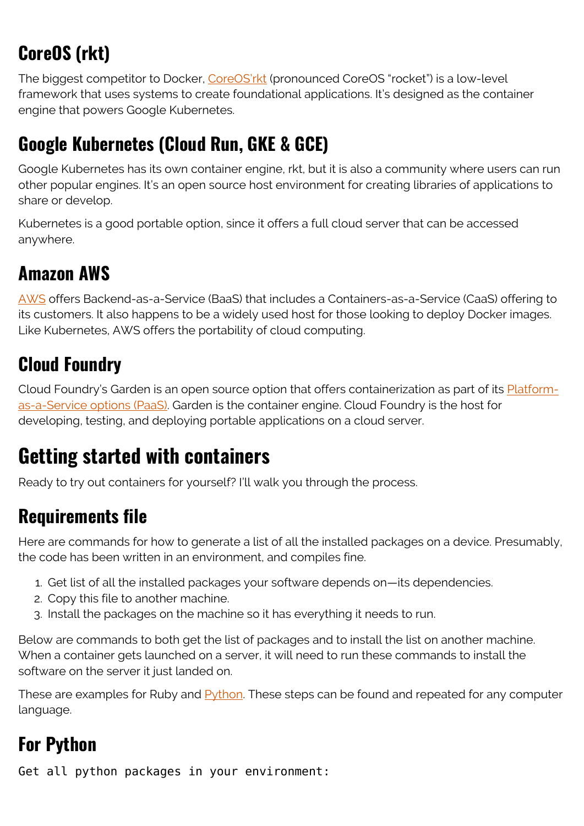# **CoreOS (rkt)**

The biggest competitor to Docker, [CoreOS'rkt](https://www.upguard.com/blog/docker-vs-coreos) (pronounced CoreOS "rocket") is a low-level framework that uses systems to create foundational applications. It's designed as the container engine that powers Google Kubernetes.

## **Google Kubernetes (Cloud Run, GKE & GCE)**

Google Kubernetes has its own container engine, rkt, but it is also a community where users can run other popular engines. It's an open source host environment for creating libraries of applications to share or develop.

Kubernetes is a good portable option, since it offers a full cloud server that can be accessed anywhere.

## **Amazon AWS**

[AWS](https://blogs.bmc.com/blogs/aws-serverless-applications/) offers Backend-as-a-Service (BaaS) that includes a Containers-as-a-Service (CaaS) offering to its customers. It also happens to be a widely used host for those looking to deploy Docker images. Like Kubernetes, AWS offers the portability of cloud computing.

### **Cloud Foundry**

Cloud Foundry's Garden is an open source option that offers containerization as part of its **Platform**[as-a-Service options \(PaaS\).](https://blogs.bmc.com/blogs/saas-vs-paas-vs-iaas-whats-the-difference-and-how-to-choose/) Garden is the container engine. Cloud Foundry is the host for developing, testing, and deploying portable applications on a cloud server.

## **Getting started with containers**

Ready to try out containers for yourself? I'll walk you through the process.

## **Requirements file**

Here are commands for how to generate a list of all the installed packages on a device. Presumably, the code has been written in an environment, and compiles fine.

- 1. Get list of all the installed packages your software depends on—its dependencies.
- 2. Copy this file to another machine.
- 3. Install the packages on the machine so it has everything it needs to run.

Below are commands to both get the list of packages and to install the list on another machine. When a container gets launched on a server, it will need to run these commands to install the software on the server it just landed on.

These are examples for Ruby and **Python**. These steps can be found and repeated for any computer language.

### **For Python**

Get all python packages in your environment: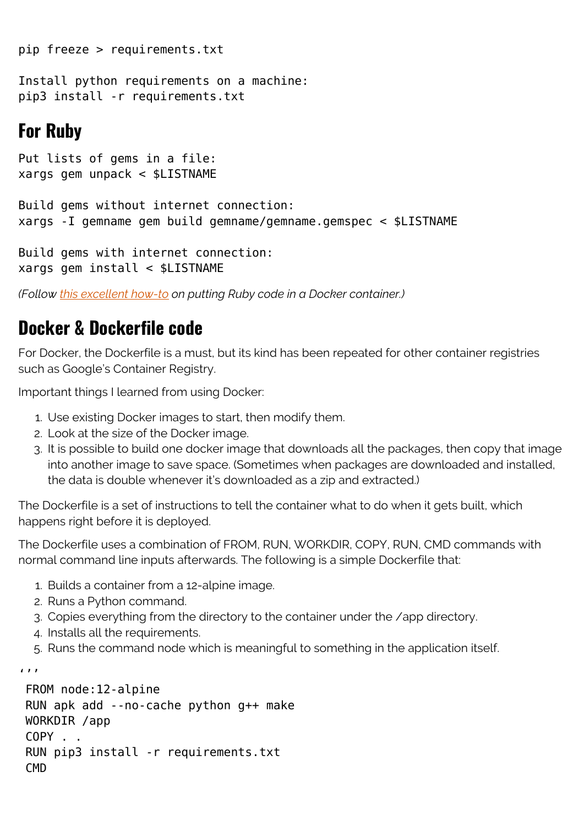pip freeze > requirements.txt

Install python requirements on a machine: pip3 install -r requirements.txt

#### **For Ruby**

Put lists of gems in a file: xargs gem unpack < \$LISTNAME

```
Build gems without internet connection:
xargs -I gemname gem build gemname/gemname.gemspec < $LISTNAME
```
Build gems with internet connection: xargs gem install < \$LISTNAME

*(Follow [this excellent how-to](https://thenewstack.io/ruby-in-containers/) on putting Ruby code in a Docker container.)*

#### **Docker & Dockerfile code**

For Docker, the Dockerfile is a must, but its kind has been repeated for other container registries such as Google's Container Registry.

Important things I learned from using Docker:

- 1. Use existing Docker images to start, then modify them.
- 2. Look at the size of the Docker image.
- 3. It is possible to build one docker image that downloads all the packages, then copy that image into another image to save space. (Sometimes when packages are downloaded and installed, the data is double whenever it's downloaded as a zip and extracted.)

The Dockerfile is a set of instructions to tell the container what to do when it gets built, which happens right before it is deployed.

The Dockerfile uses a combination of FROM, RUN, WORKDIR, COPY, RUN, CMD commands with normal command line inputs afterwards. The following is a simple Dockerfile that:

- 1. Builds a container from a 12-alpine image.
- 2. Runs a Python command.
- 3. Copies everything from the directory to the container under the /app directory.
- 4. Installs all the requirements.

 $\sqrt{1}$ 

5. Runs the command node which is meaningful to something in the application itself.

```
 FROM node:12-alpine
 RUN apk add --no-cache python g++ make
 WORKDIR /app
 COPY . .
 RUN pip3 install -r requirements.txt
CMD
```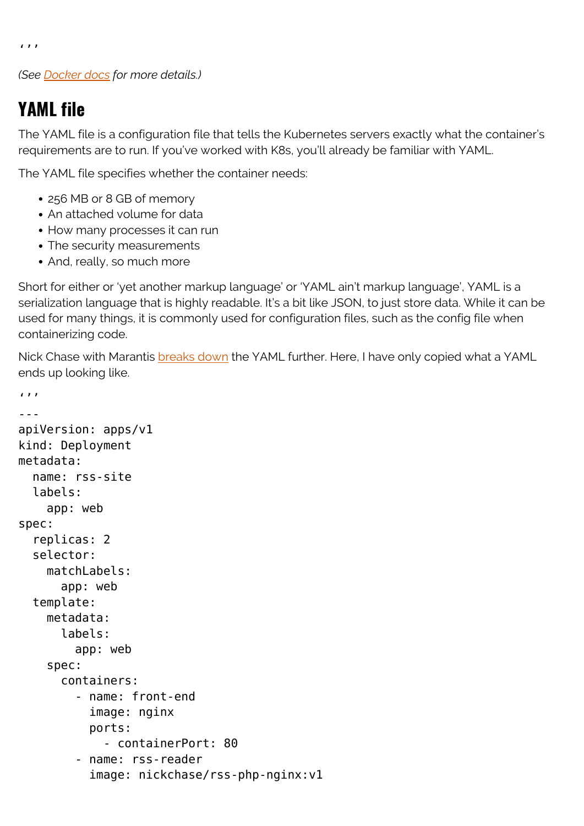$\left( \frac{1}{2} \right)$ 

*(See [Docker docs](https://docs.docker.com/get-started/02_our_app/) for more details.)*

#### **YAML file**

The YAML file is a configuration file that tells the Kubernetes servers exactly what the container's requirements are to run. If you've worked with K8s, you'll already be familiar with YAML.

The YAML file specifies whether the container needs:

- 256 MB or 8 GB of memory
- An attached volume for data
- How many processes it can run
- The security measurements
- And, really, so much more

Short for either or 'yet another markup language' or 'YAML ain't markup language', YAML is a serialization language that is highly readable. It's a bit like JSON, to just store data. While it can be used for many things, it is commonly used for configuration files, such as the config file when containerizing code.

Nick Chase with Marantis **breaks down** the YAML further. Here, I have only copied what a YAML ends up looking like.

```
\sqrt{1}---
apiVersion: apps/v1
kind: Deployment
metadata:
   name: rss-site
   labels:
     app: web
spec:
   replicas: 2
   selector:
     matchLabels:
       app: web
   template:
     metadata:
       labels:
          app: web
     spec:
       containers:
          - name: front-end
            image: nginx
            ports:
              - containerPort: 80
          - name: rss-reader
            image: nickchase/rss-php-nginx:v1
```